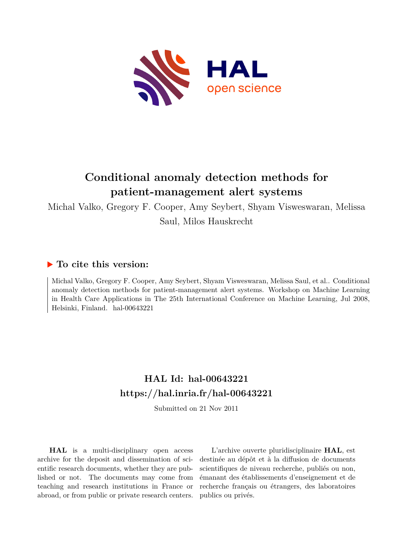

# **Conditional anomaly detection methods for patient-management alert systems**

Michal Valko, Gregory F. Cooper, Amy Seybert, Shyam Visweswaran, Melissa Saul, Milos Hauskrecht

# **To cite this version:**

Michal Valko, Gregory F. Cooper, Amy Seybert, Shyam Visweswaran, Melissa Saul, et al.. Conditional anomaly detection methods for patient-management alert systems. Workshop on Machine Learning in Health Care Applications in The 25th International Conference on Machine Learning, Jul 2008, Helsinki, Finland. hal-00643221

# **HAL Id: hal-00643221 <https://hal.inria.fr/hal-00643221>**

Submitted on 21 Nov 2011

**HAL** is a multi-disciplinary open access archive for the deposit and dissemination of scientific research documents, whether they are published or not. The documents may come from teaching and research institutions in France or abroad, or from public or private research centers.

L'archive ouverte pluridisciplinaire **HAL**, est destinée au dépôt et à la diffusion de documents scientifiques de niveau recherche, publiés ou non, émanant des établissements d'enseignement et de recherche français ou étrangers, des laboratoires publics ou privés.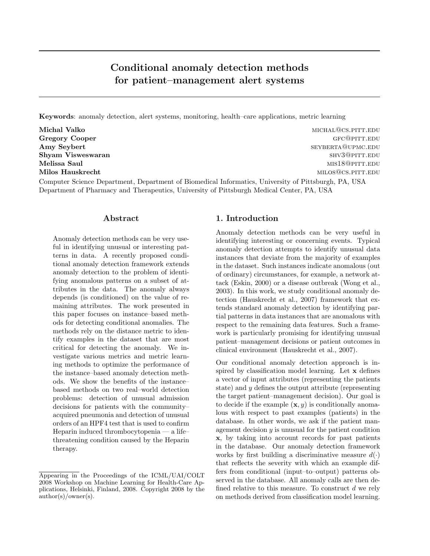# Conditional anomaly detection methods for patient–management alert systems

Keywords: anomaly detection, alert systems, monitoring, health–care applications, metric learning

Michal Valko michaland michal value of the control of the control of the michal  $M$ cs.pitt.edu

Gregory Cooper George Gregory Cooper George Gregory Cooper George Gregory Cooper George Gregory Cooper George G Amy Seybert sexual and several services of the services of the sexual services of the sexual services of the sexual services of the sexual services of the sexual services of the sexual services of the sexual services of th Shyam Visweswaran shv3@pitt.edu Melissa Saul mister and the settlement of the settlement of the settlement of the settlement of the settlement of the settlement of the settlement of the settlement of the settlement of the settlement of the settlement of Milos Hauskrecht milos@cs.pitt.edu

Computer Science Department, Department of Biomedical Informatics, University of Pittsburgh, PA, USA Department of Pharmacy and Therapeutics, University of Pittsburgh Medical Center, PA, USA

# Abstract

Anomaly detection methods can be very useful in identifying unusual or interesting patterns in data. A recently proposed conditional anomaly detection framework extends anomaly detection to the problem of identifying anomalous patterns on a subset of attributes in the data. The anomaly always depends (is conditioned) on the value of remaining attributes. The work presented in this paper focuses on instance–based methods for detecting conditional anomalies. The methods rely on the distance metric to identify examples in the dataset that are most critical for detecting the anomaly. We investigate various metrics and metric learning methods to optimize the performance of the instance–based anomaly detection methods. We show the benefits of the instance– based methods on two real–world detection problems: detection of unusual admission decisions for patients with the community– acquired pneumonia and detection of unusual orders of an HPF4 test that is used to confirm Heparin induced thrombocytopenia — a life– threatening condition caused by the Heparin therapy.

# 1. Introduction

Anomaly detection methods can be very useful in identifying interesting or concerning events. Typical anomaly detection attempts to identify unusual data instances that deviate from the majority of examples in the dataset. Such instances indicate anomalous (out of ordinary) circumstances, for example, a network attack (Eskin, 2000) or a disease outbreak (Wong et al., 2003). In this work, we study conditional anomaly detection (Hauskrecht et al., 2007) framework that extends standard anomaly detection by identifying partial patterns in data instances that are anomalous with respect to the remaining data features. Such a framework is particularly promising for identifying unusual patient–management decisions or patient outcomes in clinical environment (Hauskrecht et al., 2007).

Our conditional anomaly detection approach is inspired by classification model learning. Let x defines a vector of input attributes (representing the patients state) and y defines the output attribute (representing the target patient–management decision). Our goal is to decide if the example  $(x, y)$  is conditionally anomalous with respect to past examples (patients) in the database. In other words, we ask if the patient management decision  $y$  is unusual for the patient condition x, by taking into account records for past patients in the database. Our anomaly detection framework works by first building a discriminative measure  $d(\cdot)$ that reflects the severity with which an example differs from conditional (input–to–output) patterns observed in the database. All anomaly calls are then defined relative to this measure. To construct  $d$  we rely on methods derived from classification model learning.

Appearing in the Proceedings of the ICML/UAI/COLT 2008 Workshop on Machine Learning for Health-Care Applications, Helsinki, Finland, 2008. Copyright 2008 by the author(s)/owner(s).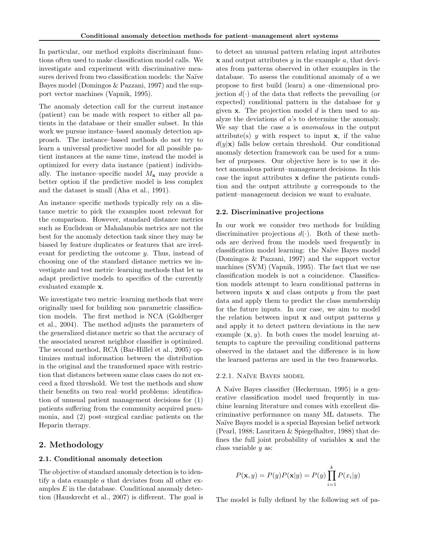In particular, our method exploits discriminant functions often used to make classification model calls. We investigate and experiment with discriminative measures derived from two classification models: the Naïve Bayes model (Domingos & Pazzani, 1997) and the support vector machines (Vapnik, 1995).

The anomaly detection call for the current instance (patient) can be made with respect to either all patients in the database or their smaller subset. In this work we pursue instance–based anomaly detection approach. The instance–based methods do not try to learn a universal predictive model for all possible patient instances at the same time, instead the model is optimized for every data instance (patient) individually. The instance–specific model  $M_{\rm\bf x}$  may provide a better option if the predictive model is less complex and the dataset is small (Aha et al., 1991).

An instance–specific methods typically rely on a distance metric to pick the examples most relevant for the comparison. However, standard distance metrics such as Euclidean or Mahalanobis metrics are not the best for the anomaly detection task since they may be biased by feature duplicates or features that are irrelevant for predicting the outcome y. Thus, instead of choosing one of the standard distance metrics we investigate and test metric–learning methods that let us adapt predictive models to specifics of the currently evaluated example x.

We investigate two metric–learning methods that were originally used for building non–parametric classification models. The first method is NCA (Goldberger et al., 2004). The method adjusts the parameters of the generalized distance metric so that the accuracy of the associated nearest neighbor classifier is optimized. The second method, RCA (Bar-Hillel et al., 2005) optimizes mutual information between the distribution in the original and the transformed space with restriction that distances between same class cases do not exceed a fixed threshold. We test the methods and show their benefits on two real–world problems: identification of unusual patient management decisions for (1) patients suffering from the community acquired pneumonia, and (2) post–surgical cardiac patients on the Heparin therapy.

### 2. Methodology

#### 2.1. Conditional anomaly detection

The objective of standard anomaly detection is to identify a data example a that deviates from all other examples  $E$  in the database. Conditional anomaly detection (Hauskrecht et al., 2007) is different. The goal is

to detect an unusual pattern relating input attributes  $x$  and output attributes y in the example a, that deviates from patterns observed in other examples in the database. To assess the conditional anomaly of a we propose to first build (learn) a one–dimensional projection  $d(\cdot)$  of the data that reflects the prevailing (or expected) conditional pattern in the database for  $y$ given  $x$ . The projection model  $d$  is then used to analyze the deviations of a's to determine the anomaly. We say that the case a is anomalous in the output attribute(s) y with respect to input  $x$ , if the value  $d(y|\mathbf{x})$  falls below certain threshold. Our conditional anomaly detection framework can be used for a number of purposes. Our objective here is to use it detect anomalous patient–management decisions. In this case the input attributes x define the patients condition and the output attribute y corresponds to the patient–management decision we want to evaluate.

#### 2.2. Discriminative projections

In our work we consider two methods for building discriminative projections  $d(\cdot)$ . Both of these methods are derived from the models used frequently in classification model learning: the Na¨ıve Bayes model (Domingos & Pazzani, 1997) and the support vector machines (SVM) (Vapnik, 1995). The fact that we use classification models is not a coincidence. Classification models attempt to learn conditional patterns in between inputs  $x$  and class outputs  $y$  from the past data and apply them to predict the class membership for the future inputs. In our case, we aim to model the relation between input  $x$  and output patterns  $y$ and apply it to detect pattern deviations in the new example  $(x, y)$ . In both cases the model learning attempts to capture the prevailing conditional patterns observed in the dataset and the difference is in how the learned patterns are used in the two frameworks.

#### 2.2.1. NAÏVE BAYES MODEL

A Na¨ıve Bayes classifier (Heckerman, 1995) is a generative classification model used frequently in machine learning literature and comes with excellent discriminative performance on many ML datasets. The Naïve Bayes model is a special Bayesian belief network (Pearl, 1988; Lauritzen & Spiegelhalter, 1988) that defines the full joint probability of variables x and the class variable y as:

$$
P(\mathbf{x}, y) = P(y)P(\mathbf{x}|y) = P(y)\prod_{i=1}^{k} P(x_i|y)
$$

The model is fully defined by the following set of pa-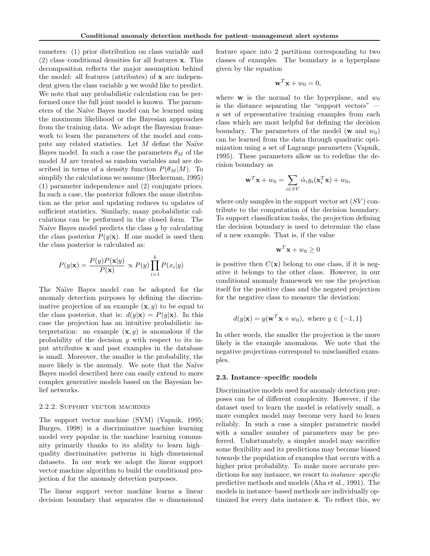rameters: (1) prior distribution on class variable and (2) class–conditional densities for all features x. This decomposition reflects the major assumption behind the model: all features (attributes) of x are independent given the class variable y we would like to predict. We note that any probabilistic calculation can be performed once the full joint model is known. The parameters of the Na¨ıve Bayes model can be learned using the maximum likelihood or the Bayesian approaches from the training data. We adopt the Bayesian framework to learn the parameters of the model and compute any related statistics. Let  $M$  define the Naïve Bayes model. In such a case the parameters  $\theta_M$  of the model M are treated as random variables and are described in terms of a density function  $P(\theta_M|M)$ . To simplify the calculations we assume (Heckerman, 1995) (1) parameter independence and (2) conjugate priors. In such a case, the posterior follows the same distribution as the prior and updating reduces to updates of sufficient statistics. Similarly, many probabilistic calculations can be performed in the closed form. The Naïve Bayes model predicts the class  $y$  by calculating the class posterior  $P(y|\mathbf{x})$ . If one model is used then the class posterior is calculated as:

$$
P(y|\mathbf{x}) = \frac{P(y)P(\mathbf{x}|y)}{P(\mathbf{x})} \propto P(y) \prod_{i=1}^{k} P(x_i|y)
$$

The Naïve Bayes model can be adopted for the anomaly detection purposes by defining the discriminative projection of an example  $(x, y)$  to be equal to the class posterior, that is:  $d(y|\mathbf{x}) = P(y|\mathbf{x})$ . In this case the projection has an intuitive probabilistic interpretation: an example  $(x, y)$  is anomalous if the probability of the decision  $y$  with respect to its input attributes x and past examples in the database is small. Moreover, the smaller is the probability, the more likely is the anomaly. We note that the Naïve Bayes model described here can easily extend to more complex generative models based on the Bayesian belief networks.

#### 2.2.2. Support vector machines

The support vector machine (SVM) (Vapnik, 1995; Burges, 1998) is a discriminative machine learning model very popular in the machine learning community primarily thanks to its ability to learn high– quality discriminative patterns in high–dimensional datasets. In our work we adopt the linear support vector machine algorithm to build the conditional projection d for the anomaly detection purposes.

The linear support vector machine learns a linear decision boundary that separates the  $n$ –dimensional

feature space into 2 partitions corresponding to two classes of examples. The boundary is a hyperplane given by the equation

$$
\mathbf{w}^T \mathbf{x} + w_0 = 0,
$$

where **w** is the normal to the hyperplane, and  $w_0$ is the distance separating the "support vectors" a set of representative training examples from each class which are most helpful for defining the decision boundary. The parameters of the model (w and  $w_0$ ) can be learned from the data through quadratic optimization using a set of Lagrange parameters (Vapnik, 1995). These parameters allow us to redefine the decision boundary as

$$
\mathbf{w}^T \mathbf{x} + w_0 = \sum_{i \in SV} \hat{\alpha}_i y_i(\mathbf{x}_i^T \mathbf{x}) + w_0,
$$

where only samples in the support vector set  $(SV)$  contribute to the computation of the decision boundary. To support classification tasks, the projection defining the decision boundary is used to determine the class of a new example. That is, if the value

$$
\mathbf{w}^T \mathbf{x} + w_0 \ge 0
$$

is positive then  $C(\mathbf{x})$  belong to one class, if it is negative it belongs to the other class. However, in our conditional anomaly framework we use the projection itself for the positive class and the negated projection for the negative class to measure the deviation:

$$
d(y|\mathbf{x}) = y(\mathbf{w}^T \mathbf{x} + w_0), \text{ where } y \in \{-1, 1\}
$$

In other words, the smaller the projection is the more likely is the example anomalous. We note that the negative projections correspond to misclassified examples.

#### 2.3. Instance–specific models

Discriminative models used for anomaly detection purposes can be of different complexity. However, if the dataset used to learn the model is relatively small, a more complex model may become very hard to learn reliably. In such a case a simpler parametric model with a smaller number of parameters may be preferred. Unfortunately, a simpler model may sacrifice some flexibility and its predictions may become biased towards the population of examples that occurs with a higher prior probability. To make more accurate predictions for any instance, we resort to *instance–specific* predictive methods and models (Aha et al., 1991). The models in instance–based methods are individually optimized for every data instance x. To reflect this, we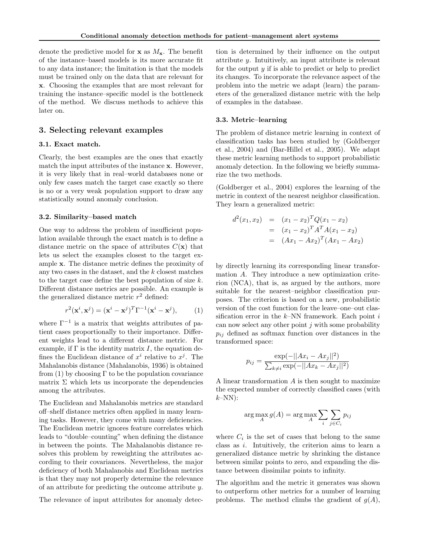denote the predictive model for **x** as  $M_{\mathbf{x}}$ . The benefit of the instance–based models is its more accurate fit to any data instance; the limitation is that the models must be trained only on the data that are relevant for x. Choosing the examples that are most relevant for training the instance–specific model is the bottleneck of the method. We discuss methods to achieve this later on.

### 3. Selecting relevant examples

#### 3.1. Exact match.

Clearly, the best examples are the ones that exactly match the input attributes of the instance x. However, it is very likely that in real–world databases none or only few cases match the target case exactly so there is no or a very weak population support to draw any statistically sound anomaly conclusion.

#### 3.2. Similarity–based match

One way to address the problem of insufficient population available through the exact match is to define a distance metric on the space of attributes  $C(\mathbf{x})$  that lets us select the examples closest to the target example x. The distance metric defines the proximity of any two cases in the dataset, and the k closest matches to the target case define the best population of size  $k$ . Different distance metrics are possible. An example is the generalized distance metric  $r^2$  defined:

$$
r^{2}(\mathbf{x}^{i}, \mathbf{x}^{j}) = (\mathbf{x}^{i} - \mathbf{x}^{j})^{T} \Gamma^{-1}(\mathbf{x}^{i} - \mathbf{x}^{j}),
$$
 (1)

where  $\Gamma^{-1}$  is a matrix that weights attributes of patient cases proportionally to their importance. Different weights lead to a different distance metric. For example, if  $\Gamma$  is the identity matrix I, the equation defines the Euclidean distance of  $x^i$  relative to  $x^j$ . The Mahalanobis distance (Mahalanobis, 1936) is obtained from (1) by choosing  $\Gamma$  to be the population covariance matrix  $\Sigma$  which lets us incorporate the dependencies among the attributes.

The Euclidean and Mahalanobis metrics are standard off–shelf distance metrics often applied in many learning tasks. However, they come with many deficiencies. The Euclidean metric ignores feature correlates which leads to "double–counting" when defining the distance in between the points. The Mahalanobis distance resolves this problem by reweighting the attributes according to their covariances. Nevertheless, the major deficiency of both Mahalanobis and Euclidean metrics is that they may not properly determine the relevance of an attribute for predicting the outcome attribute y.

The relevance of input attributes for anomaly detec-

tion is determined by their influence on the output attribute y. Intuitively, an input attribute is relevant for the output  $y$  if is able to predict or help to predict its changes. To incorporate the relevance aspect of the problem into the metric we adapt (learn) the parameters of the generalized distance metric with the help of examples in the database.

#### 3.3. Metric–learning

The problem of distance metric learning in context of classification tasks has been studied by (Goldberger et al., 2004) and (Bar-Hillel et al., 2005). We adapt these metric learning methods to support probabilistic anomaly detection. In the following we briefly summarize the two methods.

(Goldberger et al., 2004) explores the learning of the metric in context of the nearest neighbor classification. They learn a generalized metric:

$$
d^{2}(x_{1}, x_{2}) = (x_{1} - x_{2})^{T} Q(x_{1} - x_{2})
$$
  
=  $(x_{1} - x_{2})^{T} A^{T} A(x_{1} - x_{2})$   
=  $(Ax_{1} - Ax_{2})^{T} (Ax_{1} - Ax_{2})$ 

by directly learning its corresponding linear transformation A. They introduce a new optimization criterion (NCA), that is, as argued by the authors, more suitable for the nearest–neighbor classification purposes. The criterion is based on a new, probabilistic version of the cost function for the leave–one–out classification error in the  $k$ –NN framework. Each point i can now select any other point  $j$  with some probability  $p_{ij}$  defined as softmax function over distances in the transformed space:

$$
p_{ij} = \frac{\exp(-||Ax_i - Ax_j||^2)}{\sum_{k \neq i} \exp(-||Ax_k - Ax_j||^2)}
$$

A linear transformation A is then sought to maximize the expected number of correctly classified cases (with  $k-NN$ :

$$
\arg\max_{A} g(A) = \arg\max_{A} \sum_{i} \sum_{j \in C_i} p_{ij}
$$

where  $C_i$  is the set of cases that belong to the same class as i. Intuitively, the criterion aims to learn a generalized distance metric by shrinking the distance between similar points to zero, and expanding the distance between dissimilar points to infinity.

The algorithm and the metric it generates was shown to outperform other metrics for a number of learning problems. The method climbs the gradient of  $g(A)$ ,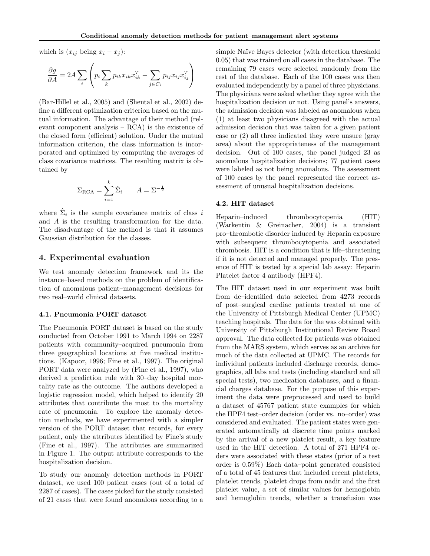which is  $(x_{ij}$  being  $x_i - x_j$ ):

$$
\frac{\partial g}{\partial A} = 2A \sum_{i} \left( p_i \sum_{k} p_{ik} x_{ik} x_{ik}^T - \sum_{j \in C_i} p_{ij} x_{ij} x_{ij}^T \right)
$$

(Bar-Hillel et al., 2005) and (Shental et al., 2002) define a different optimization criterion based on the mutual information. The advantage of their method (relevant component analysis – RCA) is the existence of the closed form (efficient) solution. Under the mutual information criterion, the class information is incorporated and optimized by computing the averages of class covariance matrices. The resulting matrix is obtained by

$$
\Sigma_{\text{RCA}} = \sum_{i=1}^{k} \hat{\Sigma}_i \qquad A = \Sigma^{-\frac{1}{2}}
$$

where  $\hat{\Sigma}_i$  is the sample covariance matrix of class i and A is the resulting transformation for the data. The disadvantage of the method is that it assumes Gaussian distribution for the classes.

# 4. Experimental evaluation

We test anomaly detection framework and its the instance–based methods on the problem of identification of anomalous patient–management decisions for two real–world clinical datasets.

#### 4.1. Pneumonia PORT dataset

The Pneumonia PORT dataset is based on the study conducted from October 1991 to March 1994 on 2287 patients with community–acquired pneumonia from three geographical locations at five medical institutions. (Kapoor, 1996; Fine et al., 1997). The original PORT data were analyzed by (Fine et al., 1997), who derived a prediction rule with 30–day hospital mortality rate as the outcome. The authors developed a logistic regression model, which helped to identify 20 attributes that contribute the most to the mortality rate of pneumonia. To explore the anomaly detection methods, we have experimented with a simpler version of the PORT dataset that records, for every patient, only the attributes identified by Fine's study (Fine et al., 1997). The attributes are summarized in Figure 1. The output attribute corresponds to the hospitalization decision.

To study our anomaly detection methods in PORT dataset, we used 100 patient cases (out of a total of 2287 of cases). The cases picked for the study consisted of 21 cases that were found anomalous according to a simple Naïve Bayes detector (with detection threshold 0.05) that was trained on all cases in the database. The remaining 79 cases were selected randomly from the rest of the database. Each of the 100 cases was then evaluated independently by a panel of three physicians. The physicians were asked whether they agree with the hospitalization decision or not. Using panel's answers, the admission decision was labeled as anomalous when (1) at least two physicians disagreed with the actual admission decision that was taken for a given patient case or (2) all three indicated they were unsure (gray area) about the appropriateness of the management decision. Out of 100 cases, the panel judged 23 as anomalous hospitalization decisions; 77 patient cases were labeled as not being anomalous. The assessment of 100 cases by the panel represented the correct assessment of unusual hospitalization decisions.

#### 4.2. HIT dataset

Heparin–induced thrombocytopenia (HIT) (Warkentin & Greinacher, 2004) is a transient pro–thrombotic disorder induced by Heparin exposure with subsequent thrombocytopenia and associated thrombosis. HIT is a condition that is life–threatening if it is not detected and managed properly. The presence of HIT is tested by a special lab assay: Heparin Platelet factor 4 antibody (HPF4).

The HIT dataset used in our experiment was built from de–identified data selected from 4273 records of post–surgical cardiac patients treated at one of the University of Pittsburgh Medical Center (UPMC) teaching hospitals. The data for the was obtained with University of Pittsburgh Institutional Review Board approval. The data collected for patients was obtained from the MARS system, which serves as an archive for much of the data collected at UPMC. The records for individual patients included discharge records, demographics, all labs and tests (including standard and all special tests), two medication databases, and a financial charges database. For the purpose of this experiment the data were preprocessed and used to build a dataset of 45767 patient state examples for which the HPF4 test–order decision (order vs. no–order) was considered and evaluated. The patient states were generated automatically at discrete time points marked by the arrival of a new platelet result, a key feature used in the HIT detection. A total of 271 HPF4 orders were associated with these states (prior of a test order is 0.59%) Each data–point generated consisted of a total of 45 features that included recent platelets, platelet trends, platelet drops from nadir and the first platelet value, a set of similar values for hemoglobin and hemoglobin trends, whether a transfusion was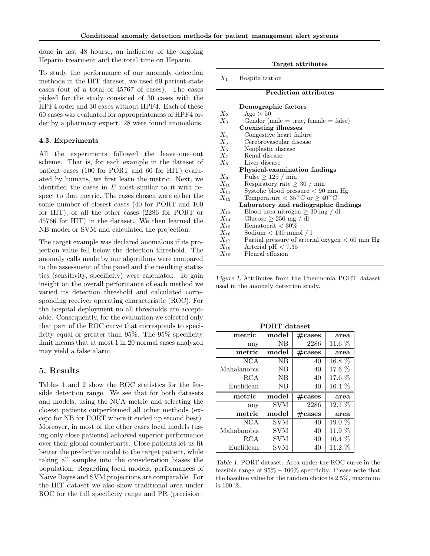done in last 48 hourse, an indicator of the ongoing Heparin treatment and the total time on Heparin.

To study the performance of our anomaly detection methods in the HIT dataset, we used 60 patient state cases (out of a total of 45767 of cases). The cases picked for the study consisted of 30 cases with the HPF4 order and 30 cases without HPF4. Each of these 60 cases was evaluated for appropriateness of HPF4 order by a pharmacy expert. 28 were found anomalous.

#### 4.3. Experiments

All the experiments followed the leave–one–out scheme. That is, for each example in the dataset of patient cases (100 for PORT and 60 for HIT) evaluated by humans, we first learn the metric. Next, we identified the cases in  $E$  most similar to it with respect to that metric. The cases chosen were either the some number of closest cases (40 for PORT and 100 for HIT), or all the other cases (2286 for PORT or 45766 for HIT) in the dataset. We then learned the NB model or SVM and calculated the projection.

The target example was declared anomalous if its projection value fell below the detection threshold. The anomaly calls made by our algorithms were compared to the assessment of the panel and the resulting statistics (sensitivity, specificity) were calculated. To gain insight on the overall performance of each method we varied its detection threshold and calculated corresponding receiver operating characteristic (ROC). For the hospital deployment no all thresholds are acceptable. Consequently, for the evaluation we selected only that part of the ROC curve that corresponds to specificity equal or greater than 95%. The 95% specificity limit means that at most 1 in 20 normal cases analyzed may yield a false alarm.

## 5. Results

Tables 1 and 2 show the ROC statistics for the feasible detection range. We see that for both datasets and models, using the NCA metric and selecting the closest patients outperformed all other methods (except for NB for PORT where it ended up second best). Moreover, in most of the other cases local models (using only close patients) achieved superior performance over their global counterparts. Close patients let us fit better the predictive model to the target patient, while taking all samples into the consideration biases the population. Regarding local models, performances of Na¨ıve Bayes and SVM projections are comparable. For the HIT dataset we also show traditional area under ROC for the full specificity range and PR (precision–

Target attributes

 $X_1$  Hospitalization

|          | <b>Prediction attributes</b>                     |
|----------|--------------------------------------------------|
|          |                                                  |
|          | Demographic factors                              |
| $X_2$    | Age > 50                                         |
| $X_3$    | Gender (male $=$ true, female $=$ false)         |
|          | Coexisting illnesses                             |
| $X_4$    | Congestive heart failure                         |
| $X_5$    | Cerebrovascular disease                          |
| $X_6$    | Neoplastic disease                               |
| $X_7$    | Renal disease                                    |
| $X_8$    | Liver disease                                    |
|          | Physical-examination findings                    |
| $X_9$    | Pulse $\geq 125 / \text{min}$                    |
| $X_{10}$ | Respiratory rate $\geq 30 / \min$                |
| $X_{11}$ | Systolic blood pressure $< 90$ mm Hg             |
| $X_{12}$ | Temperature $< 35^{\circ}$ C or $> 40^{\circ}$ C |
|          | Laboratory and radiographic findings             |
| $X_{13}$ | Blood urea nitrogen $\geq 30$ mg / dl            |
| $X_{14}$ | Glucose $> 250$ mg / dl                          |
| $X_{15}$ | Hematocrit $< 30\%$                              |
| $X_{16}$ | Sodium $< 130$ mmol $/1$                         |
| $X_{17}$ | Partial pressure of arterial oxygen $< 60$ mm Hg |
| $X_{18}$ | Arterial pH $< 7.35$                             |
| $X_{19}$ | Pleural effusion                                 |

Figure 1. Attributes from the Pneumonia PORT dataset used in the anomaly detection study.

| metric       | model      | $\#\text{cases}$ | area     |
|--------------|------------|------------------|----------|
| any          | NB         | 2286             | 11.6 %   |
| metric       | model      | $\#\text{cases}$ | area     |
| NCA          | NΒ         | 40               | 16.8 %   |
| Mahalanobis  | NB         | 40               | $17.6\%$ |
| $_{\rm RCA}$ | NB         | 40               | $17.6\%$ |
| Euclidean    | NB         | 40               | $16.4\%$ |
| $\rm metric$ | model      | $\#\text{cases}$ |          |
|              |            |                  | area     |
| any          | <b>SVM</b> | 2286             | $12.1\%$ |
| metric       | model      | $\#\text{cases}$ | area     |
| NCA          | SVM        | 40               | $19.0\%$ |
| Mahalanobis  | SVM        | 40               | $11.9\%$ |
| RCA          | SVM        | 40               | $10.4\%$ |

PORT dataset

Table 1. PORT dataset: Area under the ROC curve in the feasible range of 95% – 100% specificity. Please note that the baseline value for the random choice is 2.5%, maximum is 100 %.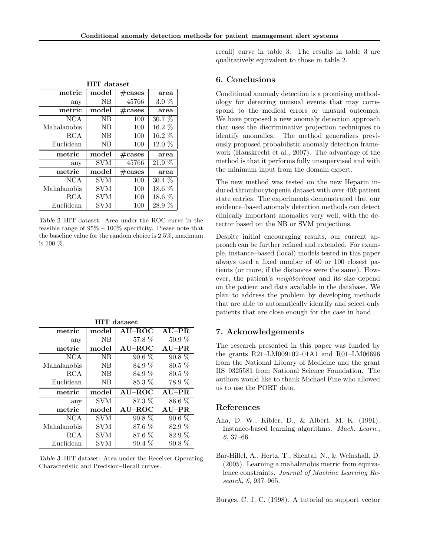| <b>HIT</b> dataset |                |                  |          |  |  |  |  |
|--------------------|----------------|------------------|----------|--|--|--|--|
| metric             | $_{\rm model}$ | $\#\text{cases}$ | area     |  |  |  |  |
| any                | NB             | 45766            | $3.0\%$  |  |  |  |  |
| metric             | model          | $\#\text{cases}$ | area     |  |  |  |  |
| NCA                | NB             | 100              | 30.7 %   |  |  |  |  |
| Mahalanobis        | NB             | 100              | $16.2\%$ |  |  |  |  |
| RCA                | NB             | 100              | $16.2\%$ |  |  |  |  |
| Euclidean          | <b>NB</b>      | 100              | $12.0\%$ |  |  |  |  |
|                    |                |                  |          |  |  |  |  |
| metric             | $_{\rm model}$ | $\#\text{cases}$ | area     |  |  |  |  |
| any                | SVM            | 45766            | 21.9 %   |  |  |  |  |
| metric             | $_{\rm model}$ | $\#\text{cases}$ | area     |  |  |  |  |
| <b>NCA</b>         | SVM            | 100              | $30.4\%$ |  |  |  |  |
| Mahalanobis        | SVM            | 100              | $18.6\%$ |  |  |  |  |
| RCA                | SVM            | 100              | $18.6\%$ |  |  |  |  |

Table 2. HIT dataset: Area under the ROC curve in the feasible range of  $95\% - 100\%$  specificity. Please note that the baseline value for the random choice is 2.5%, maximum is 100 %.

| metric      | model      | AU–ROC    | $AU-PR$  |
|-------------|------------|-----------|----------|
| any         | <b>NB</b>  | 57.8 \%   | $50.9\%$ |
| metric      | model      | $AU$ -ROC | $AU-PR$  |
| <b>NCA</b>  | <b>NB</b>  | $90.6\%$  | $90.8\%$ |
| Mahalanobis | NB         | 84.9 %    | $80.5\%$ |
| RCA         | <b>NB</b>  | 84.9 %    | $80.5\%$ |
| Euclidean   | <b>NB</b>  | 85.3 \%   | 78.9 %   |
|             |            |           |          |
| metric      | model      | $AU$ -ROC | $AU-PR$  |
| any         | <b>SVM</b> | $87.3\%$  | 86.6 %   |
| metric      | model      | $AU$ -ROC | $AU-PR$  |
| <b>NCA</b>  | <b>SVM</b> | $90.8\%$  | $90.6\%$ |
| Mahalanobis | <b>SVM</b> | 87.6 %    | 82.9 %   |
| RCA         | <b>SVM</b> | $87.6\%$  | 82.9 %   |

HIT dataset

Table 3. HIT dataset: Area under the Receiver Operating Characteristic and Precision–Recall curves.

recall) curve in table 3. The results in table 3 are qualitatively equivalent to those in table 2.

# 6. Conclusions

Conditional anomaly detection is a promising methodology for detecting unusual events that may correspond to the medical errors or unusual outcomes. We have proposed a new anomaly detection approach that uses the discriminative projection techniques to identify anomalies. The method generalizes previously proposed probabilistic anomaly detection framework (Hauskrecht et al., 2007). The advantage of the method is that it performs fully unsupervised and with the minimum input from the domain expert.

The new method was tested on the new Heparin induced thrombocytopenia dataset with over 40k patient state entries. The experiments demonstrated that our evidence–based anomaly detection methods can detect clinically important anomalies very well, with the detector based on the NB or SVM projections.

Despite initial encouraging results, our current approach can be further refined and extended. For example, instance–based (local) models tested in this paper always used a fixed number of 40 or 100 closest patients (or more, if the distances were the same). However, the patient's neighborhood and its size depend on the patient and data available in the database. We plan to address the problem by developing methods that are able to automatically identify and select only patients that are close enough for the case in hand.

# 7. Acknowledgements

The research presented in this paper was funded by the grants R21–LM009102–01A1 and R01–LM06696 from the National Library of Medicine and the grant IIS–0325581 from National Science Foundation. The authors would like to thank Michael Fine who allowed us to use the PORT data.

# References

- Aha, D. W., Kibler, D., & Albert, M. K. (1991). Instance-based learning algorithms. Mach. Learn., 6, 37–66.
- Bar-Hillel, A., Hertz, T., Shental, N., & Weinshall, D. (2005). Learning a mahalanobis metric from equivalence constraints. Journal of Machine Learning Research, 6, 937–965.

Burges, C. J. C. (1998). A tutorial on support vector